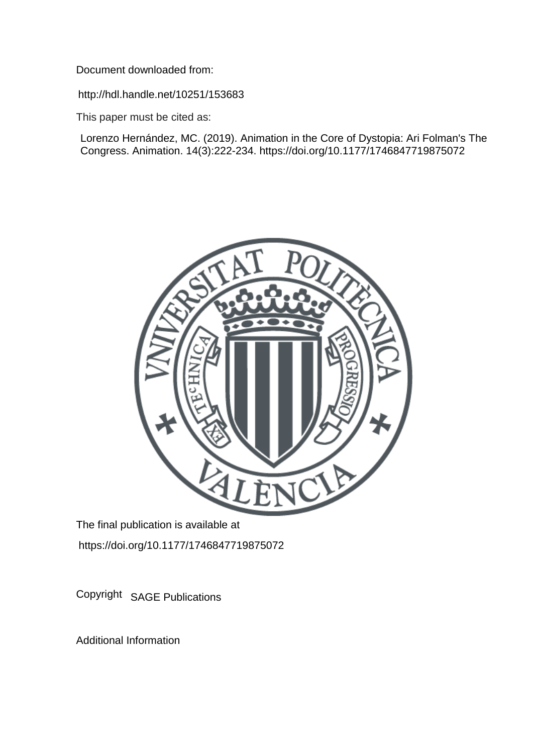Document downloaded from:

http://hdl.handle.net/10251/153683

This paper must be cited as:

Lorenzo Hernández, MC. (2019). Animation in the Core of Dystopia: Ari Folman's The Congress. Animation. 14(3):222-234. https://doi.org/10.1177/1746847719875072



The final publication is available at https://doi.org/10.1177/1746847719875072

Copyright SAGE Publications

Additional Information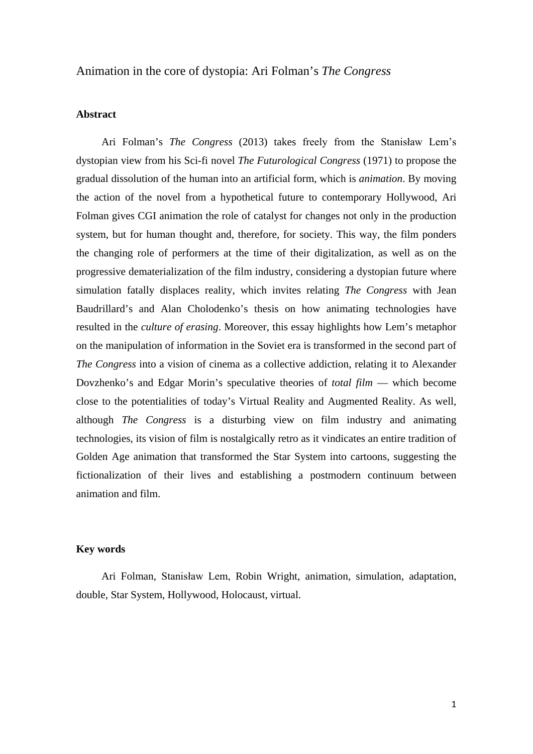# Animation in the core of dystopia: Ari Folman's *The Congress*

# **Abstract**

Ari Folman's *The Congress* (2013) takes freely from the Stanisław Lem's dystopian view from his Sci-fi novel *The Futurological Congress* (1971) to propose the gradual dissolution of the human into an artificial form, which is *animation*. By moving the action of the novel from a hypothetical future to contemporary Hollywood, Ari Folman gives CGI animation the role of catalyst for changes not only in the production system, but for human thought and, therefore, for society. This way, the film ponders the changing role of performers at the time of their digitalization, as well as on the progressive dematerialization of the film industry, considering a dystopian future where simulation fatally displaces reality, which invites relating *The Congress* with Jean Baudrillard's and Alan Cholodenko's thesis on how animating technologies have resulted in the *culture of erasing*. Moreover, this essay highlights how Lem's metaphor on the manipulation of information in the Soviet era is transformed in the second part of *The Congress* into a vision of cinema as a collective addiction, relating it to Alexander Dovzhenko's and Edgar Morin's speculative theories of *total film* — which become close to the potentialities of today's Virtual Reality and Augmented Reality. As well, although *The Congress* is a disturbing view on film industry and animating technologies, its vision of film is nostalgically retro as it vindicates an entire tradition of Golden Age animation that transformed the Star System into cartoons, suggesting the fictionalization of their lives and establishing a postmodern continuum between animation and film.

# **Key words**

Ari Folman, Stanisław Lem, Robin Wright, animation, simulation, adaptation, double, Star System, Hollywood, Holocaust, virtual.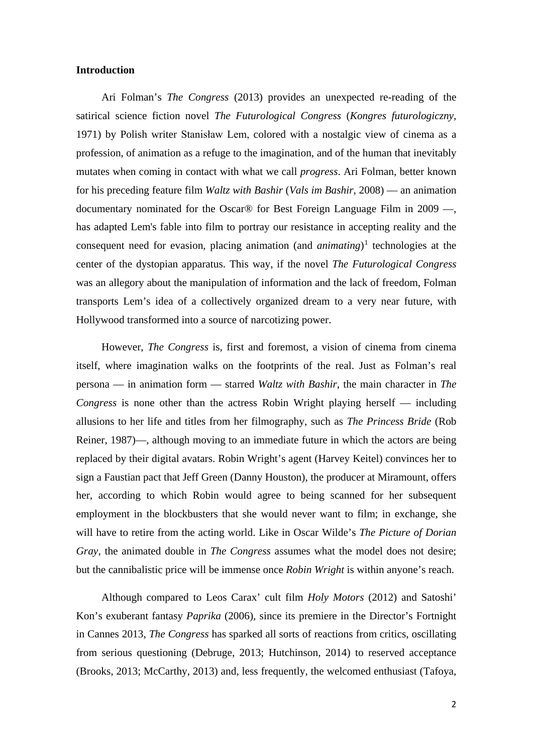### **Introduction**

Ari Folman's *The Congress* (2013) provides an unexpected re-reading of the satirical science fiction novel *The Futurological Congress* (*Kongres futurologiczny,*  1971) by Polish writer Stanisław Lem, colored with a nostalgic view of cinema as a profession, of animation as a refuge to the imagination, and of the human that inevitably mutates when coming in contact with what we call *progress*. Ari Folman, better known for his preceding feature film *Waltz with Bashir* (*Vals im Bashir*, 2008) — an animation documentary nominated for the Oscar® for Best Foreign Language Film in 2009 —, has adapted Lem's fable into film to portray our resistance in accepting reality and the consequent need for evasion, placing animation (and *animating*) [1](#page-6-0) technologies at the center of the dystopian apparatus. This way, if the novel *The Futurological Congress* was an allegory about the manipulation of information and the lack of freedom, Folman transports Lem's idea of a collectively organized dream to a very near future, with Hollywood transformed into a source of narcotizing power.

However, *The Congress* is, first and foremost, a vision of cinema from cinema itself, where imagination walks on the footprints of the real. Just as Folman's real persona — in animation form — starred *Waltz with Bashir*, the main character in *The Congress* is none other than the actress Robin Wright playing herself — including allusions to her life and titles from her filmography, such as *The Princess Bride* (Rob Reiner, 1987)—, although moving to an immediate future in which the actors are being replaced by their digital avatars. Robin Wright's agent (Harvey Keitel) convinces her to sign a Faustian pact that Jeff Green (Danny Houston), the producer at Miramount, offers her, according to which Robin would agree to being scanned for her subsequent employment in the blockbusters that she would never want to film; in exchange, she will have to retire from the acting world. Like in Oscar Wilde's *The Picture of Dorian Gray,* the animated double in *The Congress* assumes what the model does not desire; but the cannibalistic price will be immense once *Robin Wright* is within anyone's reach.

Although compared to Leos Carax' cult film *Holy Motors* (2012) and Satoshi' Kon's exuberant fantasy *Paprika* (2006), since its premiere in the Director's Fortnight in Cannes 2013, *The Congress* has sparked all sorts of reactions from critics, oscillating from serious questioning (Debruge, 2013; Hutchinson, 2014) to reserved acceptance (Brooks, 2013; McCarthy, 2013) and, less frequently, the welcomed enthusiast (Tafoya,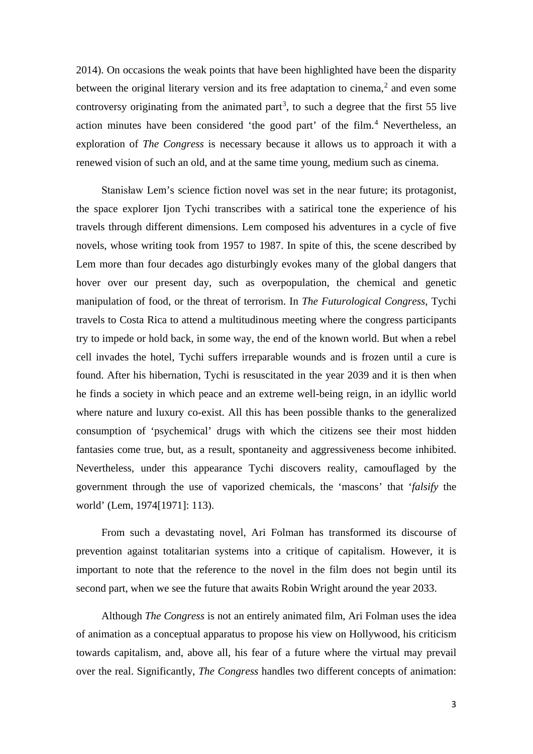2014). On occasions the weak points that have been highlighted have been the disparity between the original literary version and its free adaptation to cinema,<sup>[2](#page-7-0)</sup> and even some controversy originating from the animated part<sup>[3](#page-7-1)</sup>, to such a degree that the first 55 live action minutes have been considered 'the good part' of the film. [4](#page-7-2) Nevertheless, an exploration of *The Congress* is necessary because it allows us to approach it with a renewed vision of such an old, and at the same time young, medium such as cinema.

Stanisław Lem's science fiction novel was set in the near future; its protagonist, the space explorer Ijon Tychi transcribes with a satirical tone the experience of his travels through different dimensions. Lem composed his adventures in a cycle of five novels, whose writing took from 1957 to 1987. In spite of this, the scene described by Lem more than four decades ago disturbingly evokes many of the global dangers that hover over our present day, such as overpopulation, the chemical and genetic manipulation of food, or the threat of terrorism. In *The Futurological Congress*, Tychi travels to Costa Rica to attend a multitudinous meeting where the congress participants try to impede or hold back, in some way, the end of the known world. But when a rebel cell invades the hotel, Tychi suffers irreparable wounds and is frozen until a cure is found. After his hibernation, Tychi is resuscitated in the year 2039 and it is then when he finds a society in which peace and an extreme well-being reign, in an idyllic world where nature and luxury co-exist. All this has been possible thanks to the generalized consumption of 'psychemical' drugs with which the citizens see their most hidden fantasies come true, but, as a result, spontaneity and aggressiveness become inhibited. Nevertheless, under this appearance Tychi discovers reality, camouflaged by the government through the use of vaporized chemicals, the 'mascons' that '*falsify* the world' (Lem, 1974[1971]: 113).

From such a devastating novel, Ari Folman has transformed its discourse of prevention against totalitarian systems into a critique of capitalism. However, it is important to note that the reference to the novel in the film does not begin until its second part, when we see the future that awaits Robin Wright around the year 2033.

Although *The Congress* is not an entirely animated film, Ari Folman uses the idea of animation as a conceptual apparatus to propose his view on Hollywood, his criticism towards capitalism, and, above all, his fear of a future where the virtual may prevail over the real. Significantly, *The Congress* handles two different concepts of animation: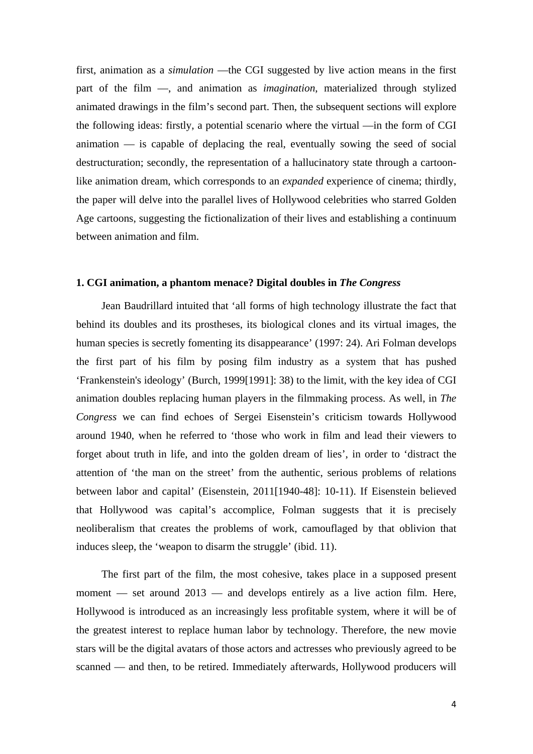first, animation as a *simulation* —the CGI suggested by live action means in the first part of the film —, and animation as *imagination*, materialized through stylized animated drawings in the film's second part. Then, the subsequent sections will explore the following ideas: firstly, a potential scenario where the virtual —in the form of CGI animation — is capable of deplacing the real, eventually sowing the seed of social destructuration; secondly, the representation of a hallucinatory state through a cartoonlike animation dream, which corresponds to an *expanded* experience of cinema; thirdly, the paper will delve into the parallel lives of Hollywood celebrities who starred Golden Age cartoons, suggesting the fictionalization of their lives and establishing a continuum between animation and film.

### **1. CGI animation, a phantom menace? Digital doubles in** *The Congress*

Jean Baudrillard intuited that 'all forms of high technology illustrate the fact that behind its doubles and its prostheses, its biological clones and its virtual images, the human species is secretly fomenting its disappearance' (1997: 24). Ari Folman develops the first part of his film by posing film industry as a system that has pushed 'Frankenstein's ideology' (Burch, 1999[1991]: 38) to the limit, with the key idea of CGI animation doubles replacing human players in the filmmaking process. As well, in *The Congress* we can find echoes of Sergei Eisenstein's criticism towards Hollywood around 1940, when he referred to 'those who work in film and lead their viewers to forget about truth in life, and into the golden dream of lies', in order to 'distract the attention of 'the man on the street' from the authentic, serious problems of relations between labor and capital' (Eisenstein, 2011[1940-48]: 10-11). If Eisenstein believed that Hollywood was capital's accomplice, Folman suggests that it is precisely neoliberalism that creates the problems of work, camouflaged by that oblivion that induces sleep, the 'weapon to disarm the struggle' (ibid. 11).

The first part of the film, the most cohesive, takes place in a supposed present moment — set around 2013 — and develops entirely as a live action film. Here, Hollywood is introduced as an increasingly less profitable system, where it will be of the greatest interest to replace human labor by technology. Therefore, the new movie stars will be the digital avatars of those actors and actresses who previously agreed to be scanned — and then, to be retired. Immediately afterwards, Hollywood producers will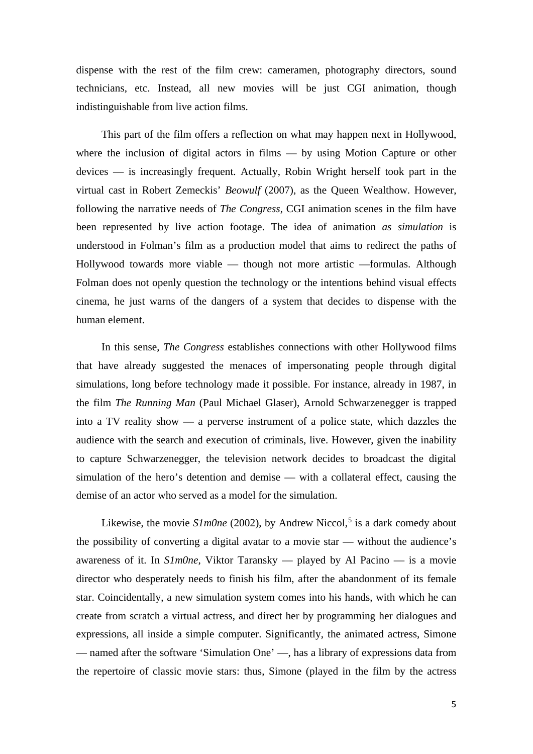dispense with the rest of the film crew: cameramen, photography directors, sound technicians, etc. Instead, all new movies will be just CGI animation, though indistinguishable from live action films.

This part of the film offers a reflection on what may happen next in Hollywood, where the inclusion of digital actors in films — by using Motion Capture or other devices — is increasingly frequent. Actually, Robin Wright herself took part in the virtual cast in Robert Zemeckis' *Beowulf* (2007), as the Queen Wealthow. However, following the narrative needs of *The Congress*, CGI animation scenes in the film have been represented by live action footage. The idea of animation *as simulation* is understood in Folman's film as a production model that aims to redirect the paths of Hollywood towards more viable — though not more artistic —formulas. Although Folman does not openly question the technology or the intentions behind visual effects cinema, he just warns of the dangers of a system that decides to dispense with the human element.

In this sense, *The Congress* establishes connections with other Hollywood films that have already suggested the menaces of impersonating people through digital simulations, long before technology made it possible. For instance, already in 1987, in the film *The Running Man* (Paul Michael Glaser), Arnold Schwarzenegger is trapped into a TV reality show — a perverse instrument of a police state, which dazzles the audience with the search and execution of criminals, live. However, given the inability to capture Schwarzenegger, the television network decides to broadcast the digital simulation of the hero's detention and demise — with a collateral effect, causing the demise of an actor who served as a model for the simulation.

Likewise, the movie *S1m0ne* (2002), by Andrew Niccol,<sup>[5](#page-7-3)</sup> is a dark comedy about the possibility of converting a digital avatar to a movie star — without the audience's awareness of it. In *S1m0ne*, Viktor Taransky — played by Al Pacino — is a movie director who desperately needs to finish his film, after the abandonment of its female star. Coincidentally, a new simulation system comes into his hands, with which he can create from scratch a virtual actress, and direct her by programming her dialogues and expressions, all inside a simple computer. Significantly, the animated actress, Simone — named after the software 'Simulation One' —, has a library of expressions data from the repertoire of classic movie stars: thus, Simone (played in the film by the actress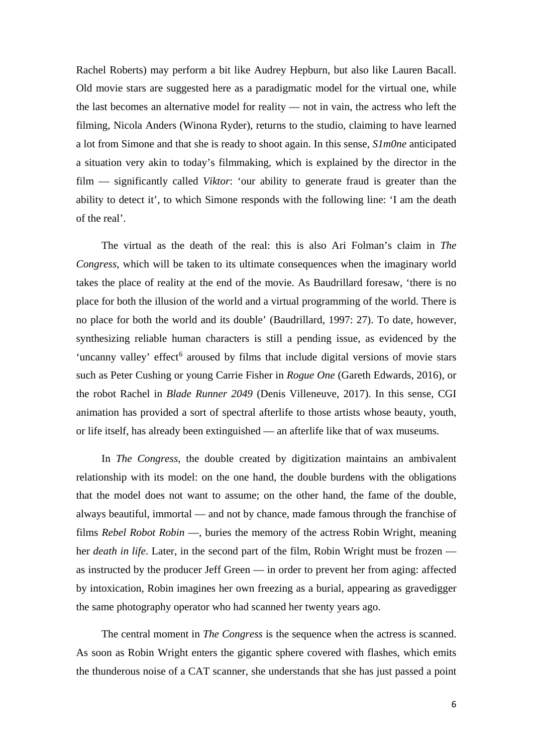Rachel Roberts) may perform a bit like Audrey Hepburn, but also like Lauren Bacall. Old movie stars are suggested here as a paradigmatic model for the virtual one, while the last becomes an alternative model for reality — not in vain, the actress who left the filming, Nicola Anders (Winona Ryder), returns to the studio, claiming to have learned a lot from Simone and that she is ready to shoot again. In this sense, *S1m0ne* anticipated a situation very akin to today's filmmaking, which is explained by the director in the film — significantly called *Viktor*: 'our ability to generate fraud is greater than the ability to detect it', to which Simone responds with the following line: 'I am the death of the real'.

The virtual as the death of the real: this is also Ari Folman's claim in *The Congress*, which will be taken to its ultimate consequences when the imaginary world takes the place of reality at the end of the movie. As Baudrillard foresaw, 'there is no place for both the illusion of the world and a virtual programming of the world. There is no place for both the world and its double' (Baudrillard, 1997: 27). To date, however, synthesizing reliable human characters is still a pending issue, as evidenced by the 'uncanny valley' effect<sup>[6](#page-8-0)</sup> aroused by films that include digital versions of movie stars such as Peter Cushing or young Carrie Fisher in *Rogue One* (Gareth Edwards, 2016), or the robot Rachel in *Blade Runner 2049* (Denis Villeneuve, 2017). In this sense, CGI animation has provided a sort of spectral afterlife to those artists whose beauty, youth, or life itself, has already been extinguished — an afterlife like that of wax museums.

In *The Congress*, the double created by digitization maintains an ambivalent relationship with its model: on the one hand, the double burdens with the obligations that the model does not want to assume; on the other hand, the fame of the double, always beautiful, immortal — and not by chance, made famous through the franchise of films *Rebel Robot Robin* —, buries the memory of the actress Robin Wright, meaning her *death in life*. Later, in the second part of the film, Robin Wright must be frozen as instructed by the producer Jeff Green — in order to prevent her from aging: affected by intoxication, Robin imagines her own freezing as a burial, appearing as gravedigger the same photography operator who had scanned her twenty years ago.

<span id="page-6-0"></span>The central moment in *The Congress* is the sequence when the actress is scanned. As soon as Robin Wright enters the gigantic sphere covered with flashes, which emits the thunderous noise of a CAT scanner, she understands that she has just passed a point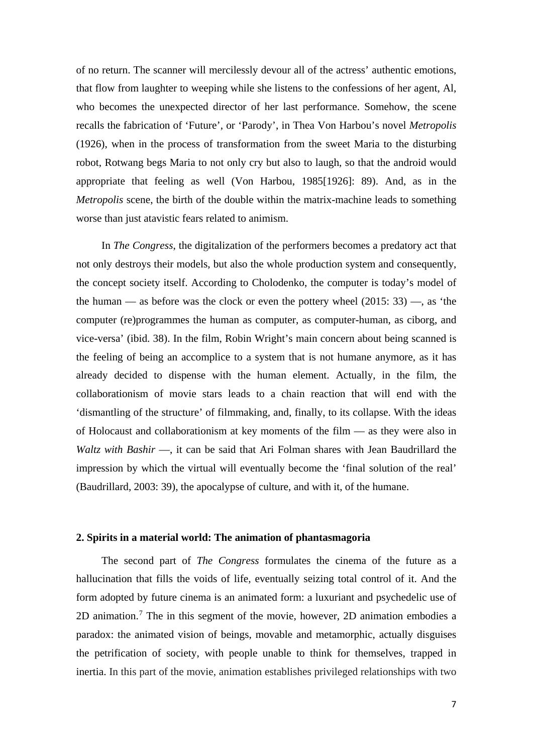<span id="page-7-2"></span><span id="page-7-1"></span>of no return. The scanner will mercilessly devour all of the actress' authentic emotions, that flow from laughter to weeping while she listens to the confessions of her agent, Al, who becomes the unexpected director of her last performance. Somehow, the scene recalls the fabrication of 'Future', or 'Parody', in Thea Von Harbou's novel *Metropolis* (1926), when in the process of transformation from the sweet Maria to the disturbing robot, Rotwang begs Maria to not only cry but also to laugh, so that the android would appropriate that feeling as well (Von Harbou, 1985[1926]: 89). And, as in the *Metropolis* scene, the birth of the double within the matrix-machine leads to something worse than just atavistic fears related to animism.

<span id="page-7-3"></span>In *The Congress*, the digitalization of the performers becomes a predatory act that not only destroys their models, but also the whole production system and consequently, the concept society itself. According to Cholodenko, the computer is today's model of the human — as before was the clock or even the pottery wheel  $(2015: 33)$  —, as 'the computer (re)programmes the human as computer, as computer-human, as ciborg, and vice-versa' (ibid. 38). In the film, Robin Wright's main concern about being scanned is the feeling of being an accomplice to a system that is not humane anymore, as it has already decided to dispense with the human element. Actually, in the film, the collaborationism of movie stars leads to a chain reaction that will end with the 'dismantling of the structure' of filmmaking, and, finally, to its collapse. With the ideas of Holocaust and collaborationism at key moments of the film — as they were also in *Waltz with Bashir* —, it can be said that Ari Folman shares with Jean Baudrillard the impression by which the virtual will eventually become the 'final solution of the real' (Baudrillard, 2003: 39), the apocalypse of culture, and with it, of the humane.

### **2. Spirits in a material world: The animation of phantasmagoria**

<span id="page-7-0"></span>The second part of *The Congress* formulates the cinema of the future as a hallucination that fills the voids of life, eventually seizing total control of it. And the form adopted by future cinema is an animated form: a luxuriant and psychedelic use of 2D animation.[7](#page-8-1) The in this segment of the movie, however, 2D animation embodies a paradox: the animated vision of beings, movable and metamorphic, actually disguises the petrification of society, with people unable to think for themselves, trapped in inertia. In this part of the movie, animation establishes privileged relationships with two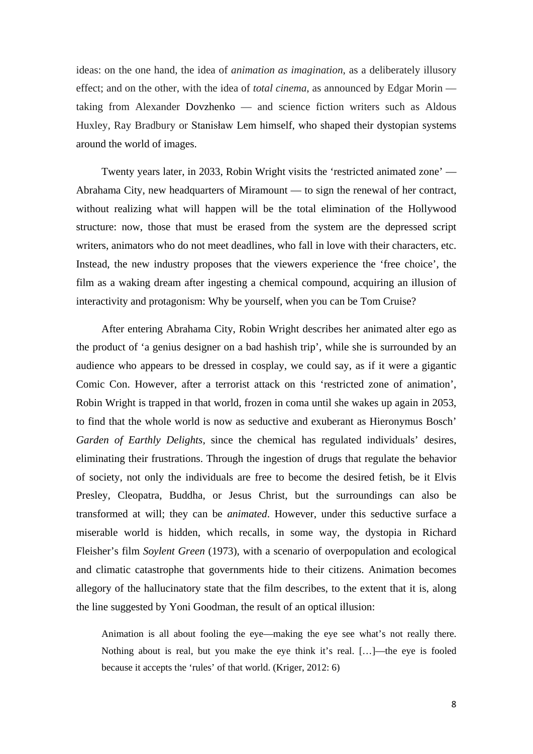ideas: on the one hand, the idea of *animation as imagination*, as a deliberately illusory effect; and on the other, with the idea of *total cinema*, as announced by Edgar Morin taking from Alexander Dovzhenko — and science fiction writers such as Aldous Huxley, Ray Bradbury or Stanisław Lem himself, who shaped their dystopian systems around the world of images.

<span id="page-8-0"></span>Twenty years later, in 2033, Robin Wright visits the 'restricted animated zone' — Abrahama City, new headquarters of Miramount — to sign the renewal of her contract, without realizing what will happen will be the total elimination of the Hollywood structure: now, those that must be erased from the system are the depressed script writers, animators who do not meet deadlines, who fall in love with their characters, etc. Instead, the new industry proposes that the viewers experience the 'free choice', the film as a waking dream after ingesting a chemical compound, acquiring an illusion of interactivity and protagonism: Why be yourself, when you can be Tom Cruise?

<span id="page-8-1"></span>After entering Abrahama City, Robin Wright describes her animated alter ego as the product of 'a genius designer on a bad hashish trip', while she is surrounded by an audience who appears to be dressed in cosplay, we could say, as if it were a gigantic Comic Con. However, after a terrorist attack on this 'restricted zone of animation', Robin Wright is trapped in that world, frozen in coma until she wakes up again in 2053, to find that the whole world is now as seductive and exuberant as Hieronymus Bosch' *Garden of Earthly Delights,* since the chemical has regulated individuals' desires, eliminating their frustrations. Through the ingestion of drugs that regulate the behavior of society, not only the individuals are free to become the desired fetish, be it Elvis Presley, Cleopatra, Buddha, or Jesus Christ, but the surroundings can also be transformed at will; they can be *animated*. However, under this seductive surface a miserable world is hidden, which recalls, in some way, the dystopia in Richard Fleisher's film *Soylent Green* (1973), with a scenario of overpopulation and ecological and climatic catastrophe that governments hide to their citizens. Animation becomes allegory of the hallucinatory state that the film describes, to the extent that it is, along the line suggested by Yoni Goodman, the result of an optical illusion:

Animation is all about fooling the eye—making the eye see what's not really there. Nothing about is real, but you make the eye think it's real. […]—the eye is fooled because it accepts the 'rules' of that world. (Kriger, 2012: 6)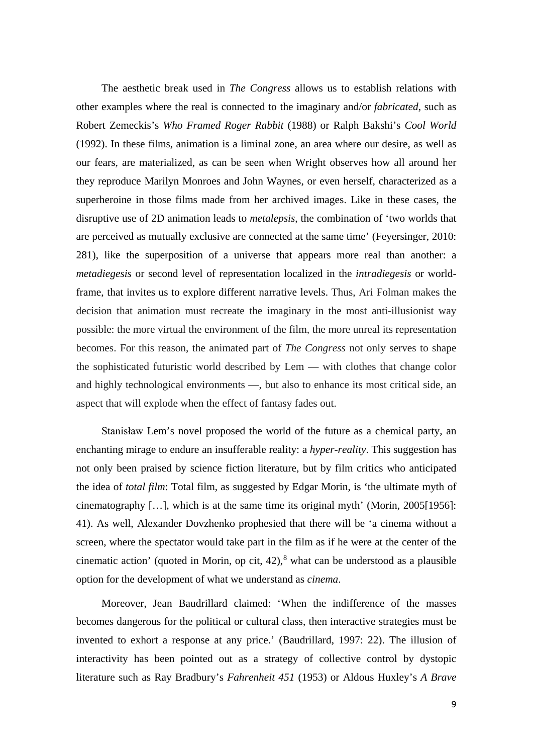The aesthetic break used in *The Congress* allows us to establish relations with other examples where the real is connected to the imaginary and/or *fabricated*, such as Robert Zemeckis's *Who Framed Roger Rabbit* (1988) or Ralph Bakshi's *Cool World* (1992). In these films, animation is a liminal zone, an area where our desire, as well as our fears, are materialized, as can be seen when Wright observes how all around her they reproduce Marilyn Monroes and John Waynes, or even herself, characterized as a superheroine in those films made from her archived images. Like in these cases, the disruptive use of 2D animation leads to *metalepsis*, the combination of 'two worlds that are perceived as mutually exclusive are connected at the same time' (Feyersinger, 2010: 281), like the superposition of a universe that appears more real than another: a *metadiegesis* or second level of representation localized in the *intradiegesis* or worldframe, that invites us to explore different narrative levels. Thus, Ari Folman makes the decision that animation must recreate the imaginary in the most anti-illusionist way possible: the more virtual the environment of the film, the more unreal its representation becomes. For this reason, the animated part of *The Congress* not only serves to shape the sophisticated futuristic world described by Lem — with clothes that change color and highly technological environments —, but also to enhance its most critical side, an aspect that will explode when the effect of fantasy fades out.

<span id="page-9-0"></span>Stanisław Lem's novel proposed the world of the future as a chemical party, an enchanting mirage to endure an insufferable reality: a *hyper-reality*. This suggestion has not only been praised by science fiction literature, but by film critics who anticipated the idea of *total film*: Total film, as suggested by Edgar Morin, is 'the ultimate myth of cinematography […], which is at the same time its original myth' (Morin, 2005[1956]: 41). As well, Alexander Dovzhenko prophesied that there will be 'a cinema without a screen, where the spectator would take part in the film as if he were at the center of the cinematic action' (quoted in Morin, op cit, 42), [8](#page-9-0) what can be understood as a plausible option for the development of what we understand as *cinema*.

Moreover, Jean Baudrillard claimed: 'When the indifference of the masses becomes dangerous for the political or cultural class, then interactive strategies must be invented to exhort a response at any price.' (Baudrillard, 1997: 22). The illusion of interactivity has been pointed out as a strategy of collective control by dystopic literature such as Ray Bradbury's *Fahrenheit 451* (1953) or Aldous Huxley's *A Brave*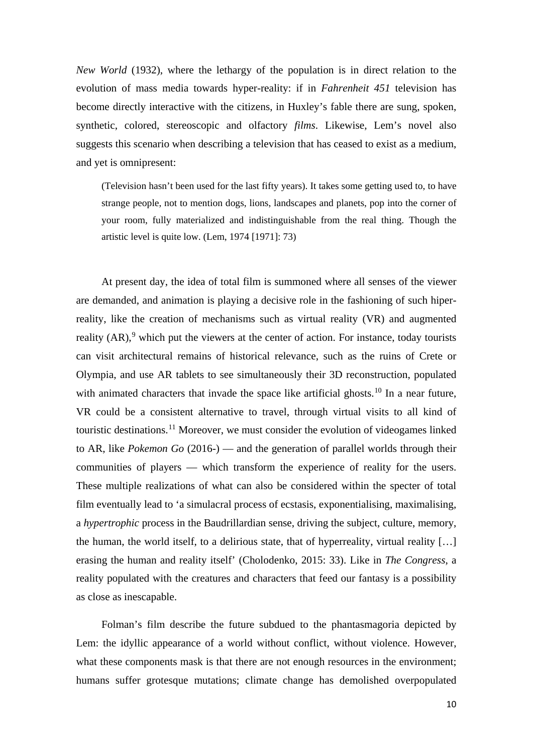*New World* (1932), where the lethargy of the population is in direct relation to the evolution of mass media towards hyper-reality: if in *Fahrenheit 451* television has become directly interactive with the citizens, in Huxley's fable there are sung, spoken, synthetic, colored, stereoscopic and olfactory *films*. Likewise, Lem's novel also suggests this scenario when describing a television that has ceased to exist as a medium, and yet is omnipresent:

(Television hasn't been used for the last fifty years). It takes some getting used to, to have strange people, not to mention dogs, lions, landscapes and planets, pop into the corner of your room, fully materialized and indistinguishable from the real thing. Though the artistic level is quite low. (Lem, 1974 [1971]: 73)

<span id="page-10-2"></span><span id="page-10-1"></span><span id="page-10-0"></span>At present day, the idea of total film is summoned where all senses of the viewer are demanded, and animation is playing a decisive role in the fashioning of such hiperreality, like the creation of mechanisms such as virtual reality (VR) and augmented reality  $(AR)$ , which put the viewers at the center of action. For instance, today tourists can visit architectural remains of historical relevance, such as the ruins of Crete or Olympia, and use AR tablets to see simultaneously their 3D reconstruction, populated with animated characters that invade the space like artificial ghosts.<sup>[10](#page-10-1)</sup> In a near future, VR could be a consistent alternative to travel, through virtual visits to all kind of touristic destinations.[11](#page-10-2) Moreover, we must consider the evolution of videogames linked to AR, like *Pokemon Go* (2016-) — and the generation of parallel worlds through their communities of players — which transform the experience of reality for the users. These multiple realizations of what can also be considered within the specter of total film eventually lead to 'a simulacral process of ecstasis, exponentialising, maximalising, a *hypertrophic* process in the Baudrillardian sense, driving the subject, culture, memory, the human, the world itself, to a delirious state, that of hyperreality, virtual reality […] erasing the human and reality itself' (Cholodenko, 2015: 33). Like in *The Congress*, a reality populated with the creatures and characters that feed our fantasy is a possibility as close as inescapable.

Folman's film describe the future subdued to the phantasmagoria depicted by Lem: the idyllic appearance of a world without conflict, without violence. However, what these components mask is that there are not enough resources in the environment; humans suffer grotesque mutations; climate change has demolished overpopulated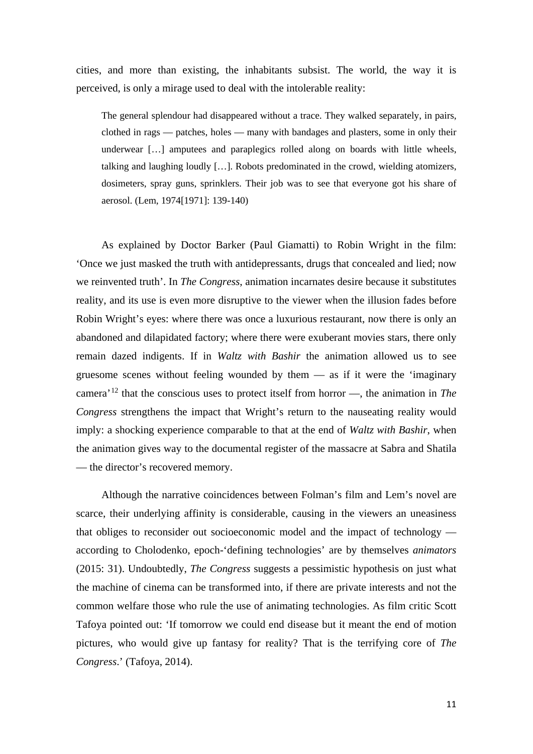cities, and more than existing, the inhabitants subsist. The world, the way it is perceived, is only a mirage used to deal with the intolerable reality:

The general splendour had disappeared without a trace. They walked separately, in pairs, clothed in rags — patches, holes — many with bandages and plasters, some in only their underwear […] amputees and paraplegics rolled along on boards with little wheels, talking and laughing loudly […]. Robots predominated in the crowd, wielding atomizers, dosimeters, spray guns, sprinklers. Their job was to see that everyone got his share of aerosol. (Lem, 1974[1971]: 139-140)

As explained by Doctor Barker (Paul Giamatti) to Robin Wright in the film: 'Once we just masked the truth with antidepressants, drugs that concealed and lied; now we reinvented truth'. In *The Congress*, animation incarnates desire because it substitutes reality, and its use is even more disruptive to the viewer when the illusion fades before Robin Wright's eyes: where there was once a luxurious restaurant, now there is only an abandoned and dilapidated factory; where there were exuberant movies stars, there only remain dazed indigents. If in *Waltz with Bashir* the animation allowed us to see gruesome scenes without feeling wounded by them  $-$  as if it were the 'imaginary camera'[12](#page-11-0) that the conscious uses to protect itself from horror —, the animation in *The Congress* strengthens the impact that Wright's return to the nauseating reality would imply: a shocking experience comparable to that at the end of *Waltz with Bashir*, when the animation gives way to the documental register of the massacre at Sabra and Shatila — the director's recovered memory.

<span id="page-11-0"></span>Although the narrative coincidences between Folman's film and Lem's novel are scarce, their underlying affinity is considerable, causing in the viewers an uneasiness that obliges to reconsider out socioeconomic model and the impact of technology according to Cholodenko, epoch-'defining technologies' are by themselves *animators* (2015: 31). Undoubtedly, *The Congress* suggests a pessimistic hypothesis on just what the machine of cinema can be transformed into, if there are private interests and not the common welfare those who rule the use of animating technologies. As film critic Scott Tafoya pointed out: 'If tomorrow we could end disease but it meant the end of motion pictures, who would give up fantasy for reality? That is the terrifying core of *The Congress*.' (Tafoya, 2014).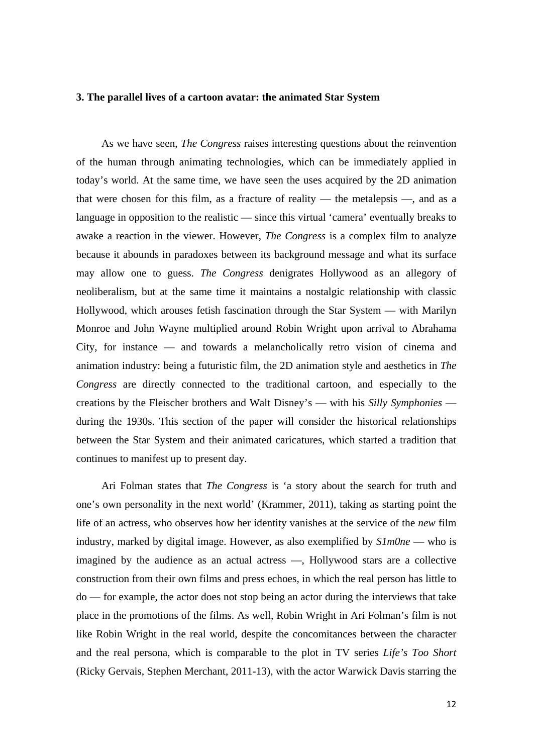### **3. The parallel lives of a cartoon avatar: the animated Star System**

As we have seen, *The Congress* raises interesting questions about the reinvention of the human through animating technologies, which can be immediately applied in today's world. At the same time, we have seen the uses acquired by the 2D animation that were chosen for this film, as a fracture of reality — the metalepsis —, and as a language in opposition to the realistic — since this virtual 'camera' eventually breaks to awake a reaction in the viewer. However, *The Congress* is a complex film to analyze because it abounds in paradoxes between its background message and what its surface may allow one to guess. *The Congress* denigrates Hollywood as an allegory of neoliberalism, but at the same time it maintains a nostalgic relationship with classic Hollywood, which arouses fetish fascination through the Star System — with Marilyn Monroe and John Wayne multiplied around Robin Wright upon arrival to Abrahama City, for instance — and towards a melancholically retro vision of cinema and animation industry: being a futuristic film, the 2D animation style and aesthetics in *The Congress* are directly connected to the traditional cartoon, and especially to the creations by the Fleischer brothers and Walt Disney's — with his *Silly Symphonies* during the 1930s. This section of the paper will consider the historical relationships between the Star System and their animated caricatures, which started a tradition that continues to manifest up to present day.

<span id="page-12-0"></span>Ari Folman states that *The Congress* is 'a story about the search for truth and one's own personality in the next world' (Krammer, 2011), taking as starting point the life of an actress, who observes how her identity vanishes at the service of the *new* film industry, marked by digital image. However, as also exemplified by *S1m0ne* — who is imagined by the audience as an actual actress —, Hollywood stars are a collective construction from their own films and press echoes, in which the real person has little to do — for example, the actor does not stop being an actor during the interviews that take place in the promotions of the films. As well, Robin Wright in Ari Folman's film is not like Robin Wright in the real world, despite the concomitances between the character and the real persona, which is comparable to the plot in TV series *Life's Too Short* (Ricky Gervais, Stephen Merchant, 2011-13), with the actor Warwick Davis starring the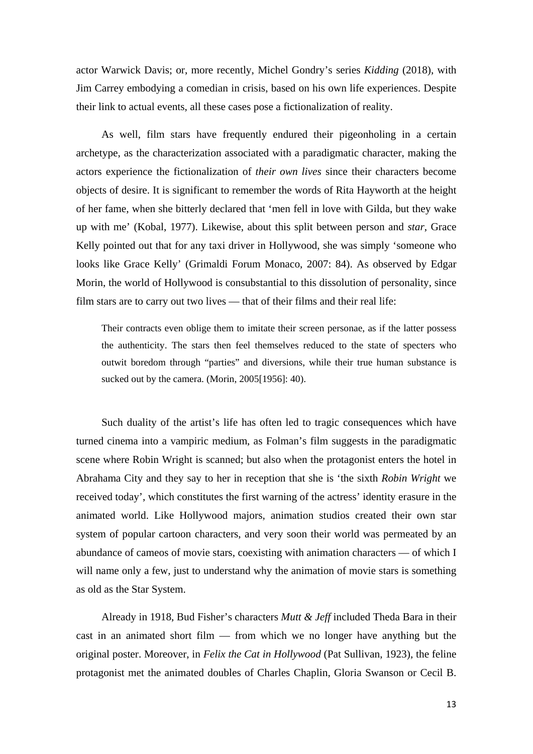actor Warwick Davis; or, more recently, Michel Gondry's series *Kidding* (2018), with Jim Carrey embodying a comedian in crisis, based on his own life experiences. Despite their link to actual events, all these cases pose a fictionalization of reality.

As well, film stars have frequently endured their pigeonholing in a certain archetype, as the characterization associated with a paradigmatic character, making the actors experience the fictionalization of *their own lives* since their characters become objects of desire. It is significant to remember the words of Rita Hayworth at the height of her fame, when she bitterly declared that 'men fell in love with Gilda, but they wake up with me' (Kobal, 1977). Likewise, about this split between person and *star*, Grace Kelly pointed out that for any taxi driver in Hollywood, she was simply 'someone who looks like Grace Kelly' (Grimaldi Forum Monaco, 2007: 84). As observed by Edgar Morin, the world of Hollywood is consubstantial to this dissolution of personality, since film stars are to carry out two lives — that of their films and their real life:

Their contracts even oblige them to imitate their screen personae, as if the latter possess the authenticity. The stars then feel themselves reduced to the state of specters who outwit boredom through "parties" and diversions, while their true human substance is sucked out by the camera. (Morin, 2005[1956]: 40).

Such duality of the artist's life has often led to tragic consequences which have turned cinema into a vampiric medium, as Folman's film suggests in the paradigmatic scene where Robin Wright is scanned; but also when the protagonist enters the hotel in Abrahama City and they say to her in reception that she is 'the sixth *Robin Wright* we received today', which constitutes the first warning of the actress' identity erasure in the animated world. Like Hollywood majors, animation studios created their own star system of popular cartoon characters, and very soon their world was permeated by an abundance of cameos of movie stars, coexisting with animation characters — of which I will name only a few, just to understand why the animation of movie stars is something as old as the Star System.

Already in 1918, Bud Fisher's characters *Mutt & Jeff* included Theda Bara in their cast in an animated short film — from which we no longer have anything but the original poster. Moreover, in *Felix the Cat in Hollywood* (Pat Sullivan, 1923)*,* the feline protagonist met the animated doubles of Charles Chaplin, Gloria Swanson or Cecil B.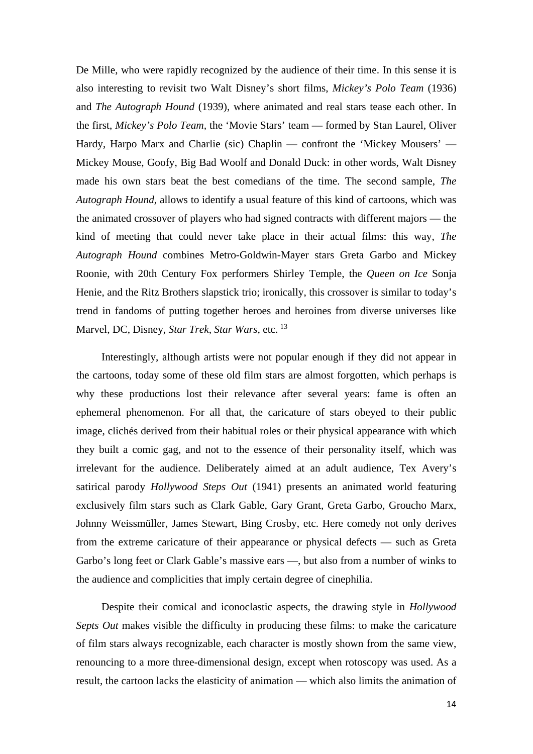De Mille, who were rapidly recognized by the audience of their time. In this sense it is also interesting to revisit two Walt Disney's short films, *Mickey's Polo Team* (1936) and *The Autograph Hound* (1939), where animated and real stars tease each other. In the first, *Mickey's Polo Team,* the 'Movie Stars' team — formed by Stan Laurel, Oliver Hardy, Harpo Marx and Charlie (sic) Chaplin — confront the 'Mickey Mousers' — Mickey Mouse, Goofy, Big Bad Woolf and Donald Duck: in other words, Walt Disney made his own stars beat the best comedians of the time. The second sample, *The Autograph Hound,* allows to identify a usual feature of this kind of cartoons, which was the animated crossover of players who had signed contracts with different majors — the kind of meeting that could never take place in their actual films: this way, *The Autograph Hound* combines Metro-Goldwin-Mayer stars Greta Garbo and Mickey Roonie, with 20th Century Fox performers Shirley Temple, the *Queen on Ice* Sonja Henie, and the Ritz Brothers slapstick trio; ironically, this crossover is similar to today's trend in fandoms of putting together heroes and heroines from diverse universes like Marvel, DC, Disney, *Star Trek*, *Star Wars*, etc. [13](#page-12-0)

Interestingly, although artists were not popular enough if they did not appear in the cartoons, today some of these old film stars are almost forgotten, which perhaps is why these productions lost their relevance after several years: fame is often an ephemeral phenomenon. For all that, the caricature of stars obeyed to their public image, clichés derived from their habitual roles or their physical appearance with which they built a comic gag, and not to the essence of their personality itself, which was irrelevant for the audience. Deliberately aimed at an adult audience, Tex Avery's satirical parody *Hollywood Steps Out* (1941) presents an animated world featuring exclusively film stars such as Clark Gable, Gary Grant, Greta Garbo, Groucho Marx, Johnny Weissmüller, James Stewart, Bing Crosby, etc. Here comedy not only derives from the extreme caricature of their appearance or physical defects — such as Greta Garbo's long feet or Clark Gable's massive ears —, but also from a number of winks to the audience and complicities that imply certain degree of cinephilia.

Despite their comical and iconoclastic aspects, the drawing style in *Hollywood Septs Out* makes visible the difficulty in producing these films: to make the caricature of film stars always recognizable, each character is mostly shown from the same view, renouncing to a more three-dimensional design, except when rotoscopy was used. As a result, the cartoon lacks the elasticity of animation — which also limits the animation of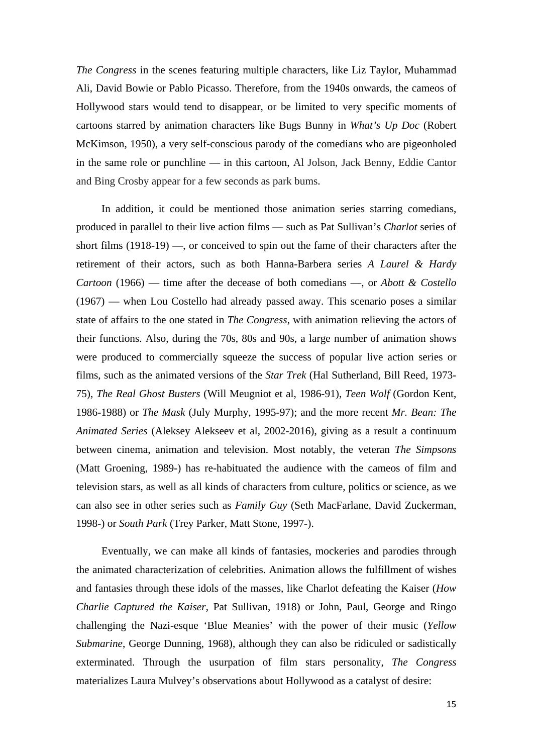*The Congress* in the scenes featuring multiple characters, like Liz Taylor, Muhammad Ali, David Bowie or Pablo Picasso. Therefore, from the 1940s onwards, the cameos of Hollywood stars would tend to disappear, or be limited to very specific moments of cartoons starred by animation characters like Bugs Bunny in *What's Up Doc* (Robert McKimson, 1950), a very self-conscious parody of the comedians who are pigeonholed in the same role or punchline — in this cartoon, Al Jolson, Jack Benny, Eddie Cantor and Bing Crosby appear for a few seconds as park bums.

In addition, it could be mentioned those animation series starring comedians, produced in parallel to their live action films — such as Pat Sullivan's *Charlot* series of short films (1918-19) —, or conceived to spin out the fame of their characters after the retirement of their actors, such as both Hanna-Barbera series *A Laurel & Hardy Cartoon* (1966) — time after the decease of both comedians —, or *Abott & Costello*  (1967) — when Lou Costello had already passed away. This scenario poses a similar state of affairs to the one stated in *The Congress*, with animation relieving the actors of their functions. Also, during the 70s, 80s and 90s, a large number of animation shows were produced to commercially squeeze the success of popular live action series or films, such as the animated versions of the *Star Trek* (Hal Sutherland, Bill Reed, 1973- 75), *The Real Ghost Busters* (Will Meugniot et al, 1986-91), *Teen Wolf* (Gordon Kent, 1986-1988) or *The Mask* (July Murphy, 1995-97); and the more recent *Mr. Bean: The Animated Series* (Aleksey Alekseev et al, 2002-2016), giving as a result a continuum between cinema, animation and television. Most notably, the veteran *The Simpsons* (Matt Groening, 1989-) has re-habituated the audience with the cameos of film and television stars, as well as all kinds of characters from culture, politics or science, as we can also see in other series such as *Family Guy* (Seth MacFarlane, David Zuckerman, 1998-) or *South Park* (Trey Parker, Matt Stone, 1997-).

Eventually, we can make all kinds of fantasies, mockeries and parodies through the animated characterization of celebrities. Animation allows the fulfillment of wishes and fantasies through these idols of the masses, like Charlot defeating the Kaiser (*How Charlie Captured the Kaiser*, Pat Sullivan, 1918) or John, Paul, George and Ringo challenging the Nazi-esque 'Blue Meanies' with the power of their music (*Yellow Submarine*, George Dunning, 1968), although they can also be ridiculed or sadistically exterminated. Through the usurpation of film stars personality, *The Congress* materializes Laura Mulvey's observations about Hollywood as a catalyst of desire: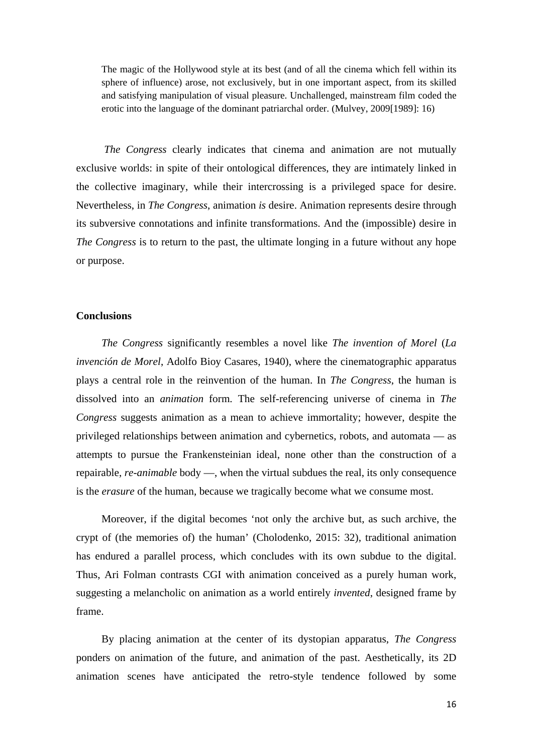The magic of the Hollywood style at its best (and of all the cinema which fell within its sphere of influence) arose, not exclusively, but in one important aspect, from its skilled and satisfying manipulation of visual pleasure. Unchallenged, mainstream film coded the erotic into the language of the dominant patriarchal order. (Mulvey, 2009[1989]: 16)

*The Congress* clearly indicates that cinema and animation are not mutually exclusive worlds: in spite of their ontological differences, they are intimately linked in the collective imaginary, while their intercrossing is a privileged space for desire. Nevertheless, in *The Congress*, animation *is* desire. Animation represents desire through its subversive connotations and infinite transformations. And the (impossible) desire in *The Congress* is to return to the past, the ultimate longing in a future without any hope or purpose.

#### **Conclusions**

*The Congress* significantly resembles a novel like *The invention of Morel* (*La invención de Morel*, Adolfo Bioy Casares, 1940), where the cinematographic apparatus plays a central role in the reinvention of the human. In *The Congress*, the human is dissolved into an *animation* form. The self-referencing universe of cinema in *The Congress* suggests animation as a mean to achieve immortality; however, despite the privileged relationships between animation and cybernetics, robots, and automata — as attempts to pursue the Frankensteinian ideal, none other than the construction of a repairable, *re-animable* body —, when the virtual subdues the real, its only consequence is the *erasure* of the human, because we tragically become what we consume most.

Moreover, if the digital becomes 'not only the archive but, as such archive, the crypt of (the memories of) the human' (Cholodenko, 2015: 32), traditional animation has endured a parallel process, which concludes with its own subdue to the digital. Thus, Ari Folman contrasts CGI with animation conceived as a purely human work, suggesting a melancholic on animation as a world entirely *invented*, designed frame by frame.

By placing animation at the center of its dystopian apparatus, *The Congress* ponders on animation of the future, and animation of the past. Aesthetically, its 2D animation scenes have anticipated the retro-style tendence followed by some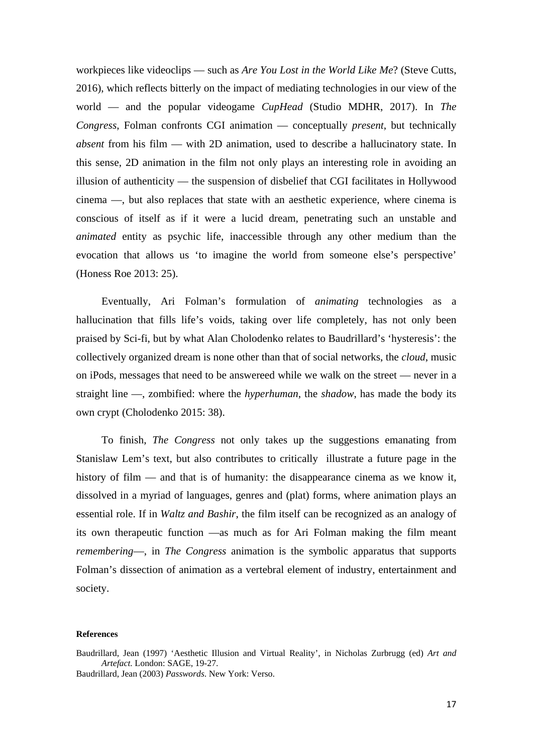workpieces like videoclips — such as *Are You Lost in the World Like Me*? (Steve Cutts, 2016), which reflects bitterly on the impact of mediating technologies in our view of the world — and the popular videogame *CupHead* (Studio MDHR, 2017). In *The Congress*, Folman confronts CGI animation — conceptually *present*, but technically *absent* from his film — with 2D animation, used to describe a hallucinatory state. In this sense, 2D animation in the film not only plays an interesting role in avoiding an illusion of authenticity — the suspension of disbelief that CGI facilitates in Hollywood cinema —, but also replaces that state with an aesthetic experience, where cinema is conscious of itself as if it were a lucid dream, penetrating such an unstable and *animated* entity as psychic life, inaccessible through any other medium than the evocation that allows us 'to imagine the world from someone else's perspective' (Honess Roe 2013: 25).

Eventually, Ari Folman's formulation of *animating* technologies as a hallucination that fills life's voids, taking over life completely, has not only been praised by Sci-fi, but by what Alan Cholodenko relates to Baudrillard's 'hysteresis': the collectively organized dream is none other than that of social networks, the *cloud*, music on iPods, messages that need to be answereed while we walk on the street — never in a straight line —, zombified: where the *hyperhuman*, the *shadow*, has made the body its own crypt (Cholodenko 2015: 38).

To finish, *The Congress* not only takes up the suggestions emanating from Stanislaw Lem's text, but also contributes to critically illustrate a future page in the history of film — and that is of humanity: the disappearance cinema as we know it, dissolved in a myriad of languages, genres and (plat) forms, where animation plays an essential role. If in *Waltz and Bashir*, the film itself can be recognized as an analogy of its own therapeutic function —as much as for Ari Folman making the film meant *remembering*—, in *The Congress* animation is the symbolic apparatus that supports Folman's dissection of animation as a vertebral element of industry, entertainment and society.

#### **References**

Baudrillard, Jean (1997) 'Aesthetic Illusion and Virtual Reality', in Nicholas Zurbrugg (ed) *Art and Artefact.* London: SAGE, 19-27.

Baudrillard, Jean (2003) *Passwords*. New York: Verso.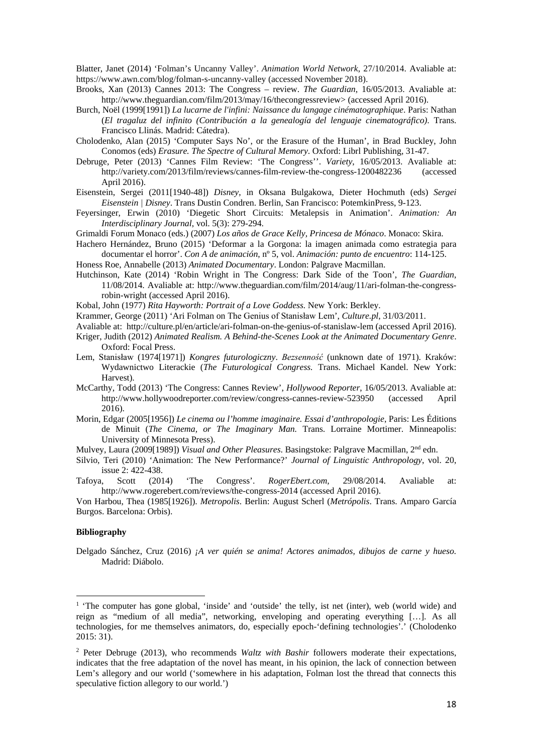Blatter, Janet (2014) 'Folman's Uncanny Valley'. *Animation World Network*, 27/10/2014. Avaliable at: https://www.awn.com/blog/folman-s-uncanny-valley (accessed November 2018).

- Brooks, Xan (2013) Cannes 2013: The Congress review. *The Guardian*, 16/05/2013. Avaliable at: http://www.theguardian.com/film/2013/may/16/thecongressreview> (accessed April 2016).
- Burch, Noël (1999[1991]) *La lucarne de l'infini: Naissance du langage cinématographique*. Paris: Nathan (*El tragaluz del infinito (Contribución a la genealogía del lenguaje cinematográfico)*. Trans. Francisco Llinás. Madrid: Cátedra).
- Cholodenko, Alan (2015) 'Computer Says No', or the Erasure of the Human', in Brad Buckley, John Conomos (eds) *Erasure. The Spectre of Cultural Memory*. Oxford: Librl Publishing, 31-47.
- Debruge, Peter (2013) 'Cannes Film Review: 'The Congress''. *Variety*, 16/05/2013. Avaliable at: http://variety.com/2013/film/reviews/cannes-film-review-the-congress-1200482236 April 2016).
- Eisenstein, Sergei (2011[1940-48]) *Disney*, in Oksana Bulgakowa, Dieter Hochmuth (eds) *Sergei Eisenstein | Disney*. Trans Dustin Condren. Berlin, San Francisco: PotemkinPress, 9-123.
- Feyersinger, Erwin (2010) 'Diegetic Short Circuits: Metalepsis in Animation'. *Animation: An Interdisciplinary Journal*, vol. 5(3): 279-294.

Grimaldi Forum Monaco (eds.) (2007) *Los años de Grace Kelly, Princesa de Mónaco*. Monaco: Skira.

Hachero Hernández, Bruno (2015) 'Deformar a la Gorgona: la imagen animada como estrategia para documentar el horror'. *Con A de animación*, nº 5, vol. *Animación: punto de encuentro*: 114-125.

Honess Roe, Annabelle (2013) *Animated Documentary*. London: Palgrave Macmillan.

Hutchinson, Kate (2014) 'Robin Wright in The Congress: Dark Side of the Toon', *The Guardian*, 11/08/2014. Avaliable at: http://www.theguardian.com/film/2014/aug/11/ari-folman-the-congressrobin-wright (accessed April 2016).

Kobal, John (1977) *Rita Hayworth: Portrait of a Love Goddess.* New York: Berkley.

- Krammer, George (2011) 'Ari Folman on The Genius of Stanisław Lem', *Culture.pl*, 31/03/2011.
- Avaliable at: http://culture.pl/en/article/ari-folman-on-the-genius-of-stanislaw-lem (accessed April 2016). Kriger, Judith (2012) *Animated Realism. A Behind-the-Scenes Look at the Animated Documentary Genre*. Oxford: Focal Press.
- Lem, Stanisław (1974[1971]) *Kongres futurologiczny*. *Bezsenność* (unknown date of 1971). Kraków: Wydawnictwo Literackie (*The Futurological Congress.* Trans. Michael Kandel. New York: Harvest).
- McCarthy, Todd (2013) 'The Congress: Cannes Review', *Hollywood Reporter*, 16/05/2013. Avaliable at: http://www.hollywoodreporter.com/review/congress-cannes-review-523950 (accessed April 2016).
- Morin, Edgar (2005[1956]) *Le cinema ou l'homme imaginaire. Essai d'anthropologie*, Paris: Les Éditions de Minuit (*The Cinema, or The Imaginary Man.* Trans. Lorraine Mortimer. Minneapolis: University of Minnesota Press).

Mulvey, Laura (2009[1989]) *Visual and Other Pleasures*. Basingstoke: Palgrave Macmillan, 2nd edn.

- Silvio, Teri (2010) 'Animation: The New Performance?' *Journal of Linguistic Anthropology*, vol. 20, issue 2: 422-438.
- Tafoya, Scott (2014) 'The Congress'. *RogerEbert.com,* 29/08/2014. Avaliable at: http://www.rogerebert.com/reviews/the-congress-2014 (accessed April 2016).

Von Harbou, Thea (1985[1926]). *Metropolis*. Berlin: August Scherl (*Metrópolis*. Trans. Amparo García Burgos. Barcelona: Orbis).

#### **Bibliography**

 $\overline{a}$ 

Delgado Sánchez, Cruz (2016) *¡A ver quién se anima! Actores animados, dibujos de carne y hueso.* Madrid: Diábolo.

<sup>&</sup>lt;sup>1</sup> 'The computer has gone global, 'inside' and 'outside' the telly, ist net (inter), web (world wide) and reign as "medium of all media", networking, enveloping and operating everything […]. As all technologies, for me themselves animators, do, especially epoch-'defining technologies'.' (Cholodenko 2015: 31).

<sup>2</sup> Peter Debruge (2013), who recommends *Waltz with Bashir* followers moderate their expectations, indicates that the free adaptation of the novel has meant, in his opinion, the lack of connection between Lem's allegory and our world ('somewhere in his adaptation, Folman lost the thread that connects this speculative fiction allegory to our world.')